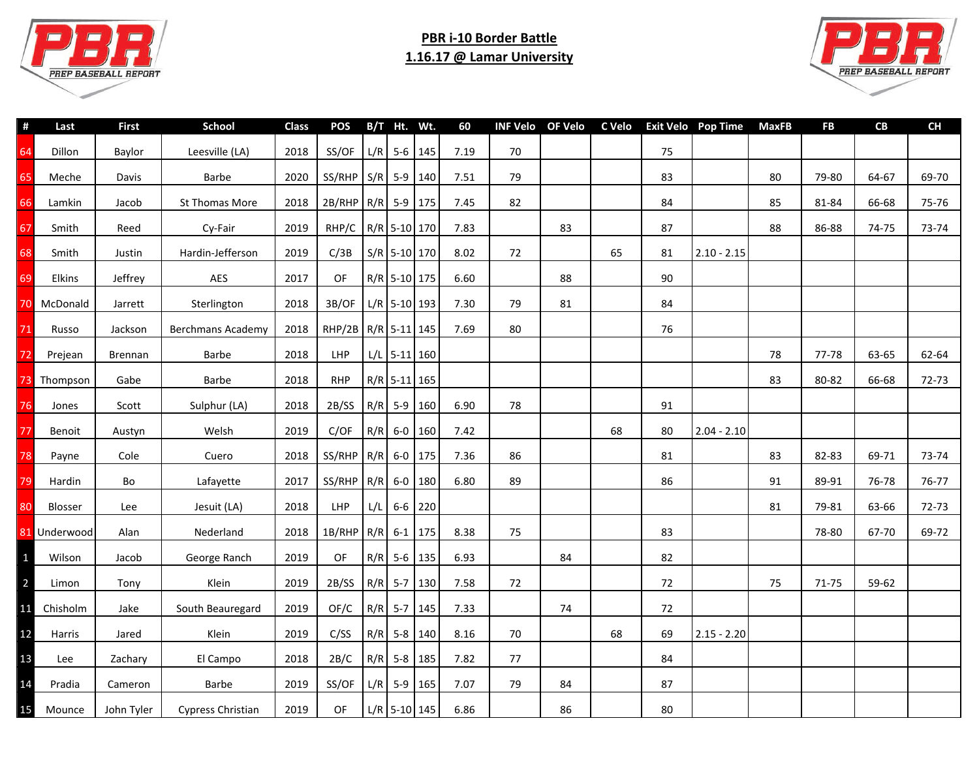

## **PBR i-10 Border Battle 1.16.17 @ Lamar University**



| 69-70<br>64-67<br>66-68<br>75-76<br>74-75<br>73-74 | 79-80   |    |               |    |    |    |    |      |           |                |                        |              |                          |            |                |
|----------------------------------------------------|---------|----|---------------|----|----|----|----|------|-----------|----------------|------------------------|--------------|--------------------------|------------|----------------|
|                                                    |         |    |               | 75 |    |    | 70 | 7.19 |           | $L/R$ 5-6 145  | SS/OF                  | 2018         | Leesville (LA)           | Baylor     | Dillon         |
|                                                    |         | 80 |               | 83 |    |    | 79 | 7.51 |           |                | $SS/RHP$ $S/R$ 5-9 140 | 2020         | Barbe                    | Davis      | Meche          |
|                                                    | 81-84   | 85 |               | 84 |    |    | 82 | 7.45 |           |                | 2B/RHP R/R 5-9 175     | 2018         | St Thomas More           | Jacob      | Lamkin         |
|                                                    | 86-88   | 88 |               | 87 |    | 83 |    | 7.83 |           | R/R 5-10 170   | RHP/C                  | 2019         | Cy-Fair                  | Reed       | Smith          |
|                                                    |         |    | $2.10 - 2.15$ | 81 | 65 |    | 72 | 8.02 |           | S/R 5-10 170   | C/3B                   | 2019         | Hardin-Jefferson         | Justin     | Smith          |
|                                                    |         |    |               | 90 |    | 88 |    | 6.60 |           | R/R 5-10 175   | OF                     | 2017         | AES                      | Jeffrey    | Elkins         |
|                                                    |         |    |               | 84 |    | 81 | 79 | 7.30 |           | $L/R$ 5-10 193 | 3B/OF                  | 2018         | Sterlington              | Jarrett    | McDonald       |
|                                                    |         |    |               | 76 |    |    | 80 | 7.69 |           | R/R 5-11 145   | RHP/2B                 | 2018         | <b>Berchmans Academy</b> | Jackson    | Russo          |
| 63-65<br>62-64                                     | 77-78   | 78 |               |    |    |    |    |      |           | $L/L$ 5-11 160 | <b>LHP</b>             | 2018         | Barbe                    | Brennan    | Prejean        |
| 66-68<br>72-73                                     | 80-82   | 83 |               |    |    |    |    |      |           | R/R 5-11 165   | <b>RHP</b>             | 2018         | Barbe                    | Gabe       | Thompson       |
|                                                    |         |    |               | 91 |    |    | 78 | 6.90 |           | R/R 5-9 160    | 2B/SS                  | 2018         | Sulphur (LA)             | Scott      | Jones          |
|                                                    |         |    | $2.04 - 2.10$ | 80 | 68 |    |    | 7.42 |           | R/R 6-0 160    |                        | 2019<br>C/OF | Welsh                    | Austyn     | Benoit         |
| 69-71<br>73-74                                     | 82-83   | 83 |               | 81 |    |    | 86 | 7.36 |           |                | $SS/RHP$ R/R 6-0 175   | 2018         | Cuero                    | Cole       | Payne          |
| 76-78<br>76-77                                     | 89-91   | 91 |               | 86 |    |    | 89 | 6.80 |           | $R/R$ 6-0 180  | SS/RHP                 | 2017         | Lafayette                | Bo         | Hardin         |
| 63-66<br>72-73                                     | 79-81   | 81 |               |    |    |    |    |      | $6-6$ 220 |                | L/L                    | 2018<br>LHP  | Jesuit (LA)              | Lee        | <b>Blosser</b> |
| 67-70<br>69-72                                     | 78-80   |    |               | 83 |    |    | 75 | 8.38 |           |                | 1B/RHP R/R 6-1 175     | 2018         | Nederland                | Alan       | 81 Underwood   |
|                                                    |         |    |               | 82 |    | 84 |    | 6.93 |           | $R/R$ 5-6 135  | OF                     | 2019         | George Ranch             | Jacob      | Wilson         |
| 59-62                                              | $71-75$ | 75 |               | 72 |    |    | 72 | 7.58 |           | R/R 5-7 130    | 2B/SS                  | 2019         | Klein                    | Tony       | Limon          |
|                                                    |         |    |               | 72 |    | 74 |    | 7.33 |           | R/R 5-7 145    | OF/C                   | 2019         | South Beauregard         | Jake       | Chisholm       |
|                                                    |         |    | $2.15 - 2.20$ | 69 | 68 |    | 70 | 8.16 |           | R/R 5-8 140    | C/SS                   | 2019         | Klein                    | Jared      | Harris         |
|                                                    |         |    |               | 84 |    |    | 77 | 7.82 |           | $R/R$ 5-8 185  | 2B/C                   | 2018         | El Campo                 | Zachary    | Lee            |
|                                                    |         |    |               | 87 |    | 84 | 79 | 7.07 |           | $L/R$ 5-9 165  | SS/OF                  | 2019         | Barbe                    | Cameron    | Pradia         |
|                                                    |         |    |               | 80 |    | 86 |    | 6.86 |           | $L/R$ 5-10 145 | OF                     | 2019         | Cypress Christian        | John Tyler | Mounce         |
|                                                    |         |    |               |    |    |    |    |      |           |                |                        |              |                          |            |                |